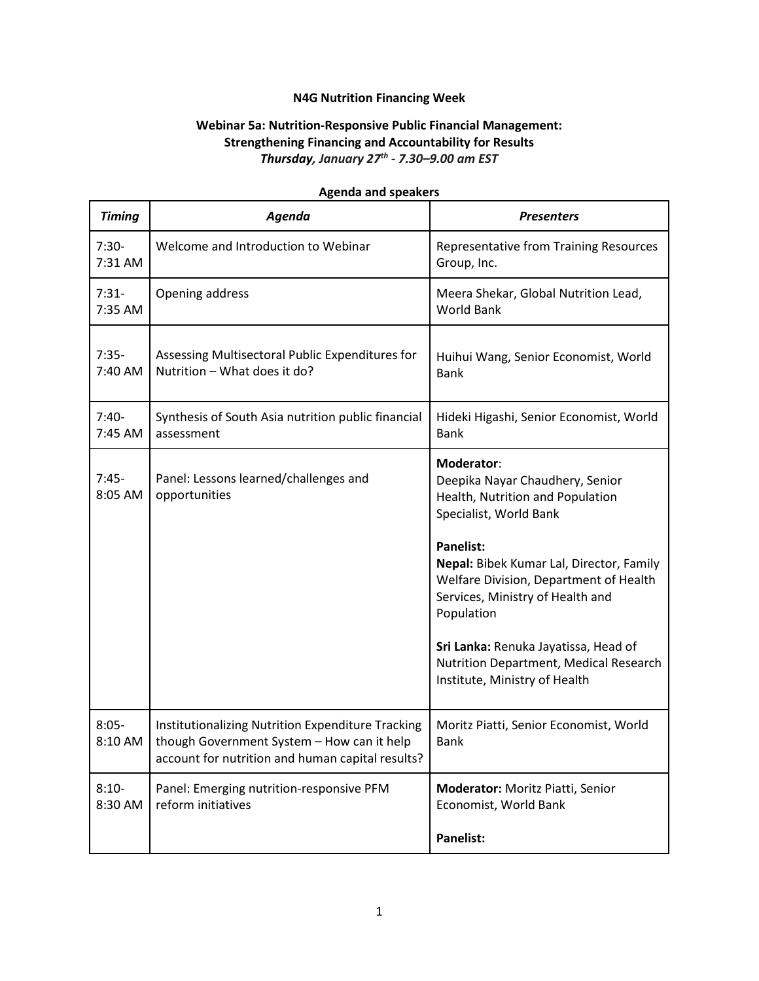## **N4G Nutrition Financing Week**

## **Webinar 5a: Nutrition-Responsive Public Financial Management: Strengthening Financing and Accountability for Results** *Thursday, January 27th - 7.30–9.00 am EST*

| <b>Timing</b>      | Agenda                                                                                                                                              | <b>Presenters</b>                                                                                                                    |
|--------------------|-----------------------------------------------------------------------------------------------------------------------------------------------------|--------------------------------------------------------------------------------------------------------------------------------------|
| $7:30-$<br>7:31 AM | Welcome and Introduction to Webinar                                                                                                                 | <b>Representative from Training Resources</b><br>Group, Inc.                                                                         |
| $7:31-$<br>7:35 AM | Opening address                                                                                                                                     | Meera Shekar, Global Nutrition Lead,<br><b>World Bank</b>                                                                            |
| $7:35-$<br>7:40 AM | Assessing Multisectoral Public Expenditures for<br>Nutrition - What does it do?                                                                     | Huihui Wang, Senior Economist, World<br><b>Bank</b>                                                                                  |
| $7:40-$<br>7:45 AM | Synthesis of South Asia nutrition public financial<br>assessment                                                                                    | Hideki Higashi, Senior Economist, World<br><b>Bank</b>                                                                               |
| $7:45-$<br>8:05 AM | Panel: Lessons learned/challenges and<br>opportunities                                                                                              | Moderator:<br>Deepika Nayar Chaudhery, Senior<br>Health, Nutrition and Population<br>Specialist, World Bank<br><b>Panelist:</b>      |
|                    |                                                                                                                                                     | Nepal: Bibek Kumar Lal, Director, Family<br>Welfare Division, Department of Health<br>Services, Ministry of Health and<br>Population |
|                    |                                                                                                                                                     | Sri Lanka: Renuka Jayatissa, Head of<br>Nutrition Department, Medical Research<br>Institute, Ministry of Health                      |
| $8:05-$<br>8:10 AM | Institutionalizing Nutrition Expenditure Tracking<br>though Government System - How can it help<br>account for nutrition and human capital results? | Moritz Piatti, Senior Economist, World<br><b>Bank</b>                                                                                |
| $8:10-$<br>8:30 AM | Panel: Emerging nutrition-responsive PFM<br>reform initiatives                                                                                      | Moderator: Moritz Piatti, Senior<br>Economist, World Bank                                                                            |
|                    |                                                                                                                                                     | <b>Panelist:</b>                                                                                                                     |

## **Agenda and speakers**